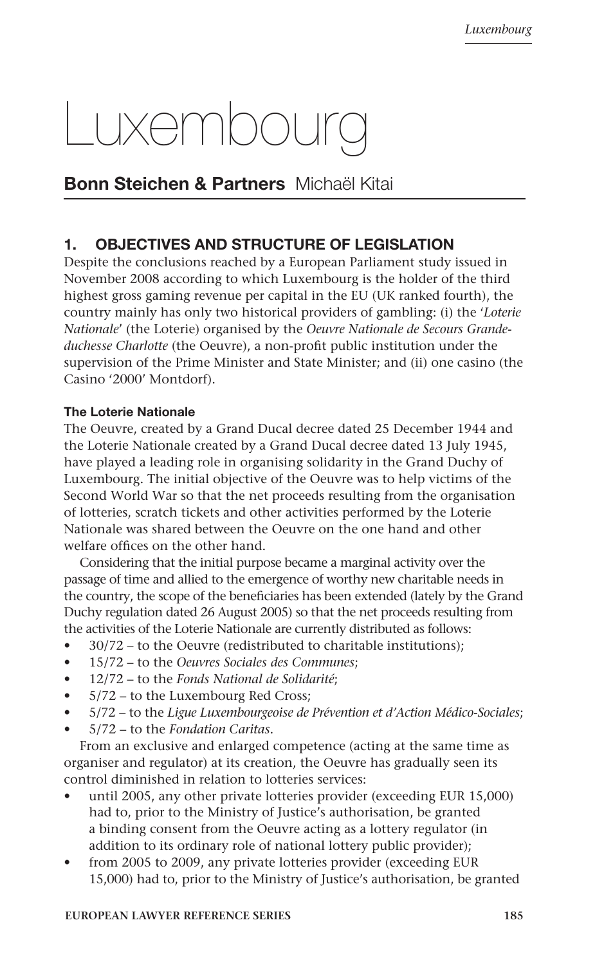# Luxembourg

# Bonn Steichen & Partners Michaël Kitai

# 1. OBJECTIVES AND STRUCTURE OF LEGISLATION

Despite the conclusions reached by a European Parliament study issued in November 2008 according to which Luxembourg is the holder of the third highest gross gaming revenue per capital in the EU (UK ranked fourth), the country mainly has only two historical providers of gambling: (i) the '*Loterie Nationale*' (the Loterie) organised by the *Oeuvre Nationale de Secours Grandeduchesse Charlotte* (the Oeuvre), a non-profit public institution under the supervision of the Prime Minister and State Minister; and (ii) one casino (the Casino '2000' Montdorf).

# The Loterie Nationale

The Oeuvre, created by a Grand Ducal decree dated 25 December 1944 and the Loterie Nationale created by a Grand Ducal decree dated 13 July 1945, have played a leading role in organising solidarity in the Grand Duchy of Luxembourg. The initial objective of the Oeuvre was to help victims of the Second World War so that the net proceeds resulting from the organisation of lotteries, scratch tickets and other activities performed by the Loterie Nationale was shared between the Oeuvre on the one hand and other welfare offices on the other hand.

Considering that the initial purpose became a marginal activity over the passage of time and allied to the emergence of worthy new charitable needs in the country, the scope of the beneficiaries has been extended (lately by the Grand Duchy regulation dated 26 August 2005) so that the net proceeds resulting from the activities of the Loterie Nationale are currently distributed as follows:

- 30/72 to the Oeuvre (redistributed to charitable institutions);
- 15/72 to the *Oeuvres Sociales des Communes*;
- 12/72 to the *Fonds National de Solidarité*;
- 5/72 to the Luxembourg Red Cross;
- 5/72 to the *Ligue Luxembourgeoise de Prévention et d'Action Médico-Sociales*;
- 5/72 to the *Fondation Caritas*.

From an exclusive and enlarged competence (acting at the same time as organiser and regulator) at its creation, the Oeuvre has gradually seen its control diminished in relation to lotteries services:

- until 2005, any other private lotteries provider (exceeding EUR 15,000) had to, prior to the Ministry of Justice's authorisation, be granted a binding consent from the Oeuvre acting as a lottery regulator (in addition to its ordinary role of national lottery public provider);
- from 2005 to 2009, any private lotteries provider (exceeding EUR 15,000) had to, prior to the Ministry of Justice's authorisation, be granted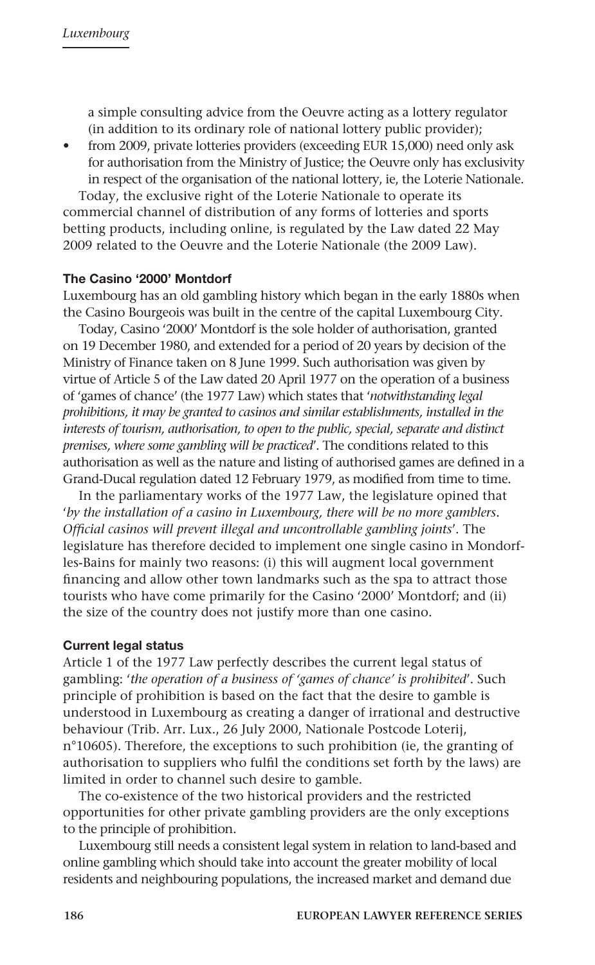a simple consulting advice from the Oeuvre acting as a lottery regulator (in addition to its ordinary role of national lottery public provider);

• from 2009, private lotteries providers (exceeding EUR 15,000) need only ask for authorisation from the Ministry of Justice; the Oeuvre only has exclusivity in respect of the organisation of the national lottery, ie, the Loterie Nationale.

Today, the exclusive right of the Loterie Nationale to operate its commercial channel of distribution of any forms of lotteries and sports betting products, including online, is regulated by the Law dated 22 May 2009 related to the Oeuvre and the Loterie Nationale (the 2009 Law).

#### The Casino '2000' Montdorf

Luxembourg has an old gambling history which began in the early 1880s when the Casino Bourgeois was built in the centre of the capital Luxembourg City.

Today, Casino '2000' Montdorf is the sole holder of authorisation, granted on 19 December 1980, and extended for a period of 20 years by decision of the Ministry of Finance taken on 8 June 1999. Such authorisation was given by virtue of Article 5 of the Law dated 20 April 1977 on the operation of a business of 'games of chance' (the 1977 Law) which states that '*notwithstanding legal prohibitions, it may be granted to casinos and similar establishments, installed in the interests of tourism, authorisation, to open to the public, special, separate and distinct premises, where some gambling will be practiced*'. The conditions related to this authorisation as well as the nature and listing of authorised games are defined in a Grand-Ducal regulation dated 12 February 1979, as modified from time to time.

In the parliamentary works of the 1977 Law, the legislature opined that '*by the installation of a casino in Luxembourg, there will be no more gamblers. Official casinos will prevent illegal and uncontrollable gambling joints*'. The legislature has therefore decided to implement one single casino in Mondorfles-Bains for mainly two reasons: (i) this will augment local government financing and allow other town landmarks such as the spa to attract those tourists who have come primarily for the Casino '2000' Montdorf; and (ii) the size of the country does not justify more than one casino.

#### Current legal status

Article 1 of the 1977 Law perfectly describes the current legal status of gambling: '*the operation of a business of 'games of chance' is prohibited*'. Such principle of prohibition is based on the fact that the desire to gamble is understood in Luxembourg as creating a danger of irrational and destructive behaviour (Trib. Arr. Lux., 26 July 2000, Nationale Postcode Loterij, n°10605). Therefore, the exceptions to such prohibition (ie, the granting of authorisation to suppliers who fulfil the conditions set forth by the laws) are limited in order to channel such desire to gamble.

The co-existence of the two historical providers and the restricted opportunities for other private gambling providers are the only exceptions to the principle of prohibition.

Luxembourg still needs a consistent legal system in relation to land-based and online gambling which should take into account the greater mobility of local residents and neighbouring populations, the increased market and demand due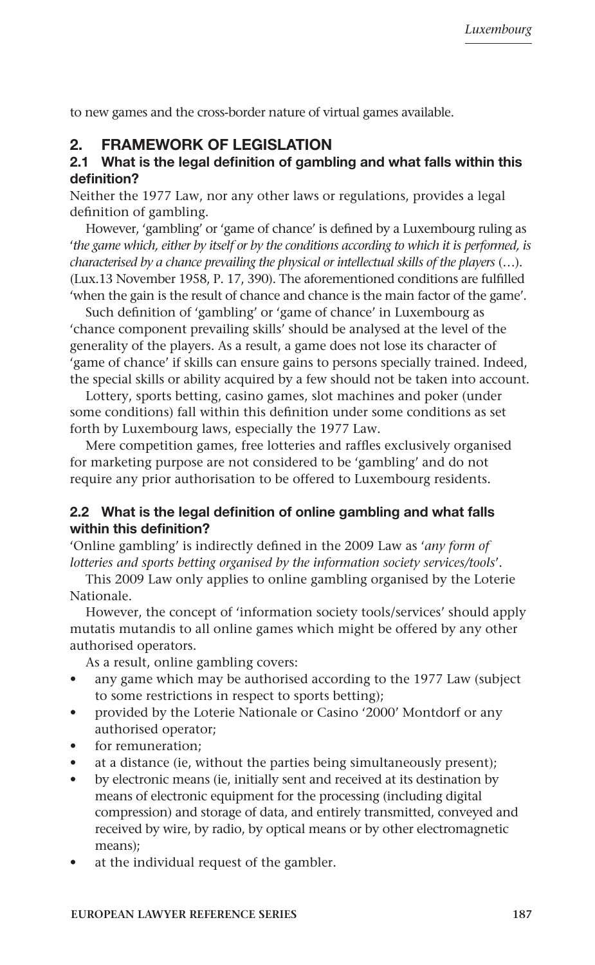to new games and the cross-border nature of virtual games available.

# 2. FRAMEWORK OF LEGISLATION

#### 2.1 What is the legal definition of gambling and what falls within this definition?

Neither the 1977 Law, nor any other laws or regulations, provides a legal definition of gambling.

However, 'gambling' or 'game of chance' is defined by a Luxembourg ruling as '*the game which, either by itself or by the conditions according to which it is performed, is characterised by a chance prevailing the physical or intellectual skills of the players* (…). (Lux.13 November 1958, P. 17, 390). The aforementioned conditions are fulfilled 'when the gain is the result of chance and chance is the main factor of the game'.

Such definition of 'gambling' or 'game of chance' in Luxembourg as 'chance component prevailing skills' should be analysed at the level of the generality of the players. As a result, a game does not lose its character of 'game of chance' if skills can ensure gains to persons specially trained. Indeed, the special skills or ability acquired by a few should not be taken into account.

Lottery, sports betting, casino games, slot machines and poker (under some conditions) fall within this definition under some conditions as set forth by Luxembourg laws, especially the 1977 Law.

Mere competition games, free lotteries and raffles exclusively organised for marketing purpose are not considered to be 'gambling' and do not require any prior authorisation to be offered to Luxembourg residents.

#### 2.2 What is the legal definition of online gambling and what falls within this definition?

'Online gambling' is indirectly defined in the 2009 Law as '*any form of lotteries and sports betting organised by the information society services/tools*'.

This 2009 Law only applies to online gambling organised by the Loterie Nationale.

However, the concept of 'information society tools/services' should apply mutatis mutandis to all online games which might be offered by any other authorised operators.

As a result, online gambling covers:

- any game which may be authorised according to the 1977 Law (subject to some restrictions in respect to sports betting);
- provided by the Loterie Nationale or Casino '2000' Montdorf or any authorised operator;
- for remuneration:
- at a distance (ie, without the parties being simultaneously present);
- by electronic means (ie, initially sent and received at its destination by means of electronic equipment for the processing (including digital compression) and storage of data, and entirely transmitted, conveyed and received by wire, by radio, by optical means or by other electromagnetic means);
- at the individual request of the gambler.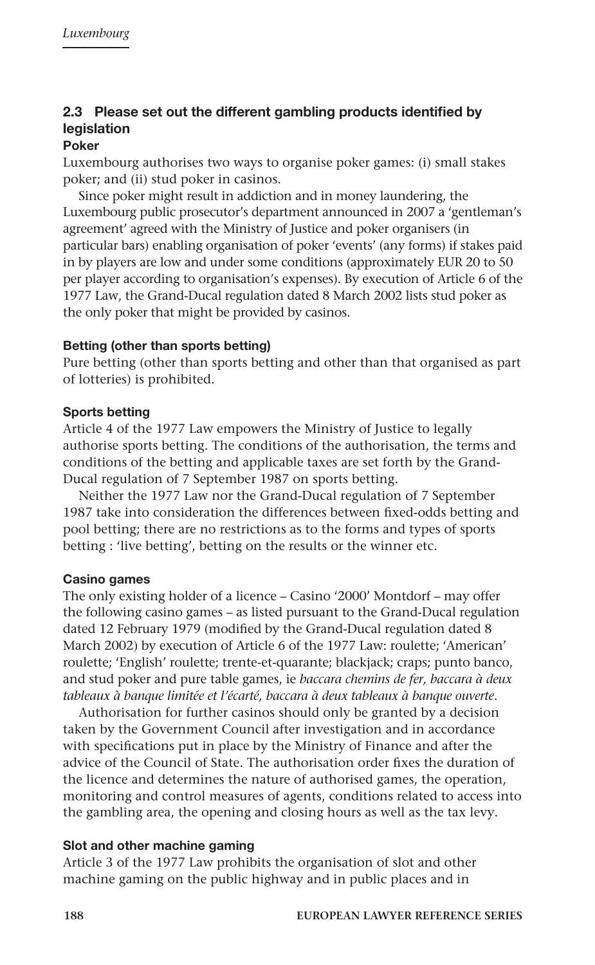# 2.3 Please set out the different gambling products identified by legislation

#### Poker

Luxembourg authorises two ways to organise poker games: (i) small stakes poker; and (ii) stud poker in casinos.

Since poker might result in addiction and in money laundering, the Luxembourg public prosecutor's department announced in 2007 a 'gentleman's agreement' agreed with the Ministry of Justice and poker organisers (in particular bars) enabling organisation of poker 'events' (any forms) if stakes paid in by players are low and under some conditions (approximately EUR 20 to 50 per player according to organisation's expenses). By execution of Article 6 of the 1977 Law, the Grand-Ducal regulation dated 8 March 2002 lists stud poker as the only poker that might be provided by casinos.

#### Betting (other than sports betting)

Pure betting (other than sports betting and other than that organised as part of lotteries) is prohibited.

#### Sports betting

Article 4 of the 1977 Law empowers the Ministry of Justice to legally authorise sports betting. The conditions of the authorisation, the terms and conditions of the betting and applicable taxes are set forth by the Grand-Ducal regulation of 7 September 1987 on sports betting.

Neither the 1977 Law nor the Grand-Ducal regulation of 7 September 1987 take into consideration the differences between fixed-odds betting and pool betting; there are no restrictions as to the forms and types of sports betting : 'live betting', betting on the results or the winner etc.

#### Casino games

The only existing holder of a licence – Casino '2000' Montdorf – may offer the following casino games – as listed pursuant to the Grand-Ducal regulation dated 12 February 1979 (modified by the Grand-Ducal regulation dated 8 March 2002) by execution of Article 6 of the 1977 Law: roulette; 'American' roulette; 'English' roulette; trente-et-quarante; blackjack; craps; punto banco, and stud poker and pure table games, ie *baccara chemins de fer, baccara à deux tableaux à banque limitée et l'écarté, baccara à deux tableaux à banque ouverte*.

Authorisation for further casinos should only be granted by a decision taken by the Government Council after investigation and in accordance with specifications put in place by the Ministry of Finance and after the advice of the Council of State. The authorisation order fixes the duration of the licence and determines the nature of authorised games, the operation, monitoring and control measures of agents, conditions related to access into the gambling area, the opening and closing hours as well as the tax levy.

#### Slot and other machine gaming

Article 3 of the 1977 Law prohibits the organisation of slot and other machine gaming on the public highway and in public places and in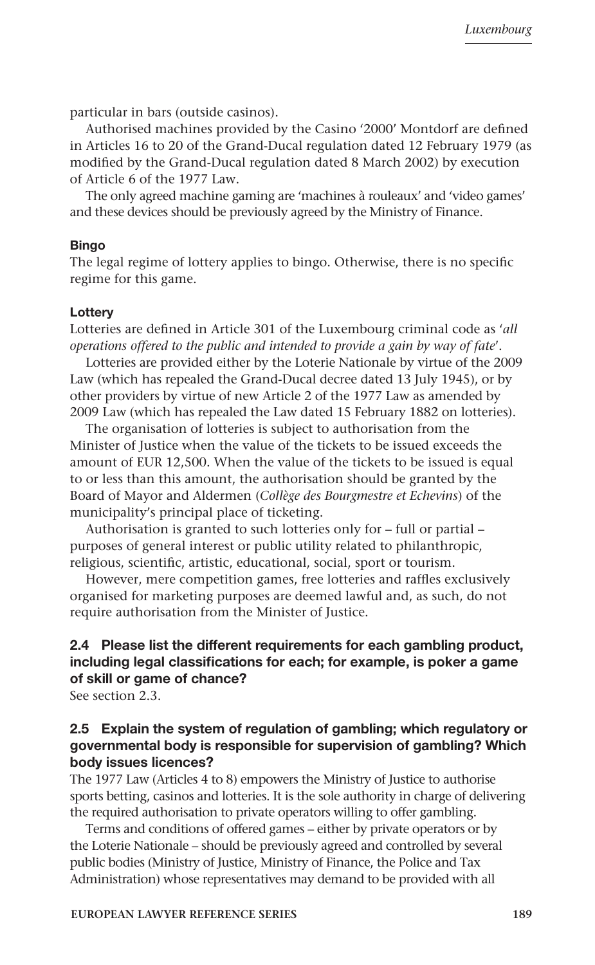particular in bars (outside casinos).

Authorised machines provided by the Casino '2000' Montdorf are defined in Articles 16 to 20 of the Grand-Ducal regulation dated 12 February 1979 (as modified by the Grand-Ducal regulation dated 8 March 2002) by execution of Article 6 of the 1977 Law.

The only agreed machine gaming are 'machines à rouleaux' and 'video games' and these devices should be previously agreed by the Ministry of Finance.

#### **Bingo**

The legal regime of lottery applies to bingo. Otherwise, there is no specific regime for this game.

#### **Lotterv**

Lotteries are defined in Article 301 of the Luxembourg criminal code as '*all operations offered to the public and intended to provide a gain by way of fate*'.

Lotteries are provided either by the Loterie Nationale by virtue of the 2009 Law (which has repealed the Grand-Ducal decree dated 13 July 1945), or by other providers by virtue of new Article 2 of the 1977 Law as amended by 2009 Law (which has repealed the Law dated 15 February 1882 on lotteries).

The organisation of lotteries is subject to authorisation from the Minister of Justice when the value of the tickets to be issued exceeds the amount of EUR 12,500. When the value of the tickets to be issued is equal to or less than this amount, the authorisation should be granted by the Board of Mayor and Aldermen (*Collège des Bourgmestre et Echevins*) of the municipality's principal place of ticketing.

Authorisation is granted to such lotteries only for – full or partial – purposes of general interest or public utility related to philanthropic, religious, scientific, artistic, educational, social, sport or tourism.

However, mere competition games, free lotteries and raffles exclusively organised for marketing purposes are deemed lawful and, as such, do not require authorisation from the Minister of Justice.

# 2.4 Please list the different requirements for each gambling product, including legal classifications for each; for example, is poker a game of skill or game of chance?

See section 2.3.

## 2.5 Explain the system of regulation of gambling; which regulatory or governmental body is responsible for supervision of gambling? Which body issues licences?

The 1977 Law (Articles 4 to 8) empowers the Ministry of Justice to authorise sports betting, casinos and lotteries. It is the sole authority in charge of delivering the required authorisation to private operators willing to offer gambling.

Terms and conditions of offered games – either by private operators or by the Loterie Nationale – should be previously agreed and controlled by several public bodies (Ministry of Justice, Ministry of Finance, the Police and Tax Administration) whose representatives may demand to be provided with all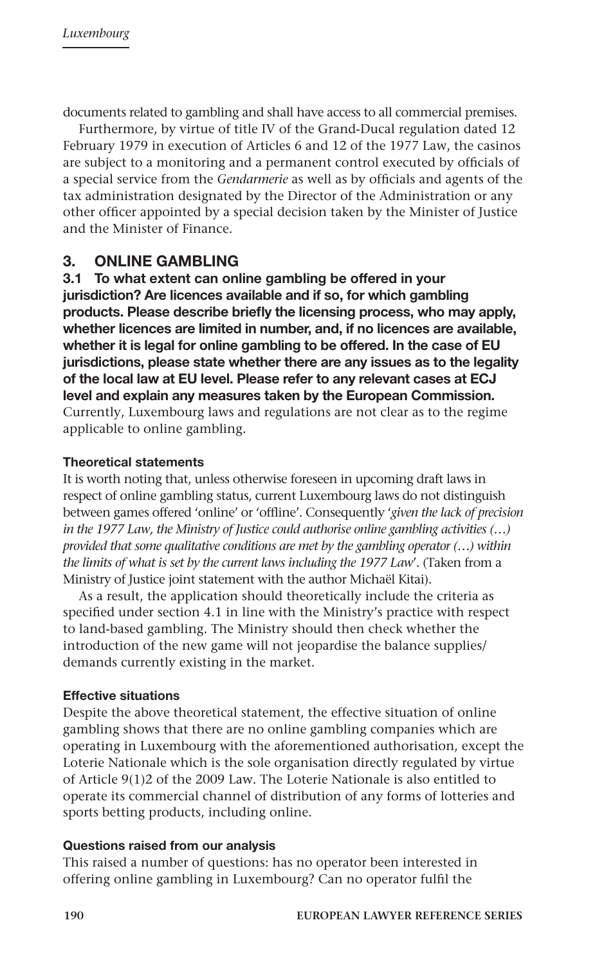documents related to gambling and shall have access to all commercial premises.

Furthermore, by virtue of title IV of the Grand-Ducal regulation dated 12 February 1979 in execution of Articles 6 and 12 of the 1977 Law, the casinos are subject to a monitoring and a permanent control executed by officials of a special service from the *Gendarmerie* as well as by officials and agents of the tax administration designated by the Director of the Administration or any other officer appointed by a special decision taken by the Minister of Justice and the Minister of Finance.

# 3. ONLINE GAMBLING

3.1 To what extent can online gambling be offered in your jurisdiction? Are licences available and if so, for which gambling products. Please describe briefly the licensing process, who may apply, whether licences are limited in number, and, if no licences are available, whether it is legal for online gambling to be offered. In the case of EU jurisdictions, please state whether there are any issues as to the legality of the local law at EU level. Please refer to any relevant cases at ECJ level and explain any measures taken by the European Commission. Currently, Luxembourg laws and regulations are not clear as to the regime applicable to online gambling.

#### Theoretical statements

It is worth noting that, unless otherwise foreseen in upcoming draft laws in respect of online gambling status, current Luxembourg laws do not distinguish between games offered 'online' or 'offline'. Consequently '*given the lack of precision in the 1977 Law, the Ministry of Justice could authorise online gambling activities (…) provided that some qualitative conditions are met by the gambling operator (…) within the limits of what is set by the current laws including the 1977 Law*'. (Taken from a Ministry of Justice joint statement with the author Michaël Kitai).

As a result, the application should theoretically include the criteria as specified under section 4.1 in line with the Ministry's practice with respect to land-based gambling. The Ministry should then check whether the introduction of the new game will not jeopardise the balance supplies/ demands currently existing in the market.

#### Effective situations

Despite the above theoretical statement, the effective situation of online gambling shows that there are no online gambling companies which are operating in Luxembourg with the aforementioned authorisation, except the Loterie Nationale which is the sole organisation directly regulated by virtue of Article 9(1)2 of the 2009 Law. The Loterie Nationale is also entitled to operate its commercial channel of distribution of any forms of lotteries and sports betting products, including online.

#### Questions raised from our analysis

This raised a number of questions: has no operator been interested in offering online gambling in Luxembourg? Can no operator fulfil the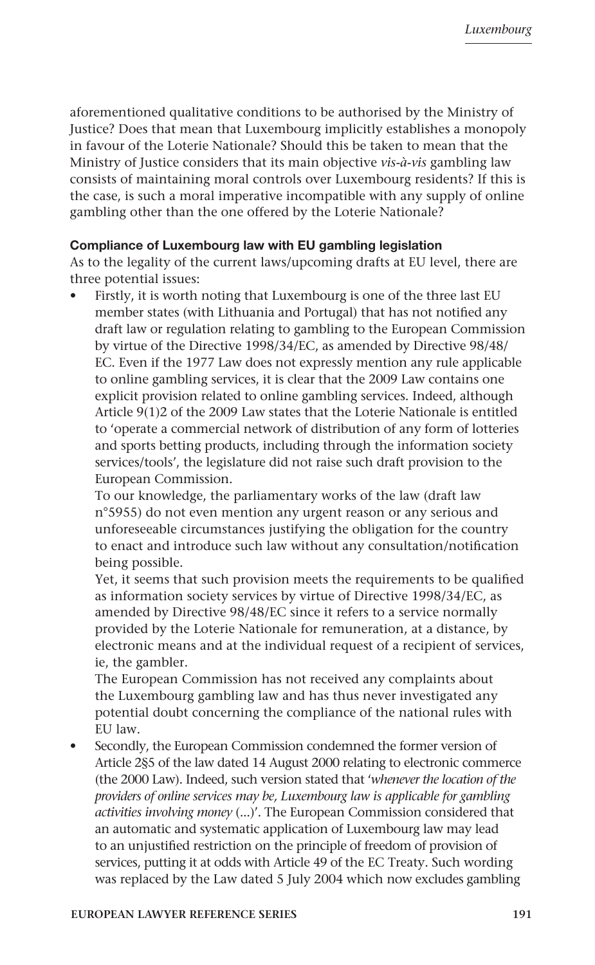aforementioned qualitative conditions to be authorised by the Ministry of Justice? Does that mean that Luxembourg implicitly establishes a monopoly in favour of the Loterie Nationale? Should this be taken to mean that the Ministry of Justice considers that its main objective *vis-à-vis* gambling law consists of maintaining moral controls over Luxembourg residents? If this is the case, is such a moral imperative incompatible with any supply of online gambling other than the one offered by the Loterie Nationale?

#### Compliance of Luxembourg law with EU gambling legislation

As to the legality of the current laws/upcoming drafts at EU level, there are three potential issues:

• Firstly, it is worth noting that Luxembourg is one of the three last EU member states (with Lithuania and Portugal) that has not notified any draft law or regulation relating to gambling to the European Commission by virtue of the Directive 1998/34/EC, as amended by Directive 98/48/ EC. Even if the 1977 Law does not expressly mention any rule applicable to online gambling services, it is clear that the 2009 Law contains one explicit provision related to online gambling services. Indeed, although Article 9(1)2 of the 2009 Law states that the Loterie Nationale is entitled to 'operate a commercial network of distribution of any form of lotteries and sports betting products, including through the information society services/tools', the legislature did not raise such draft provision to the European Commission.

To our knowledge, the parliamentary works of the law (draft law n°5955) do not even mention any urgent reason or any serious and unforeseeable circumstances justifying the obligation for the country to enact and introduce such law without any consultation/notification being possible.

Yet, it seems that such provision meets the requirements to be qualified as information society services by virtue of Directive 1998/34/EC, as amended by Directive 98/48/EC since it refers to a service normally provided by the Loterie Nationale for remuneration, at a distance, by electronic means and at the individual request of a recipient of services, ie, the gambler.

The European Commission has not received any complaints about the Luxembourg gambling law and has thus never investigated any potential doubt concerning the compliance of the national rules with EU law.

Secondly, the European Commission condemned the former version of Article 2§5 of the law dated 14 August 2000 relating to electronic commerce (the 2000 Law). Indeed, such version stated that '*whenever the location of the providers of online services may be, Luxembourg law is applicable for gambling activities involving money* (...)'. The European Commission considered that an automatic and systematic application of Luxembourg law may lead to an unjustified restriction on the principle of freedom of provision of services, putting it at odds with Article 49 of the EC Treaty. Such wording was replaced by the Law dated 5 July 2004 which now excludes gambling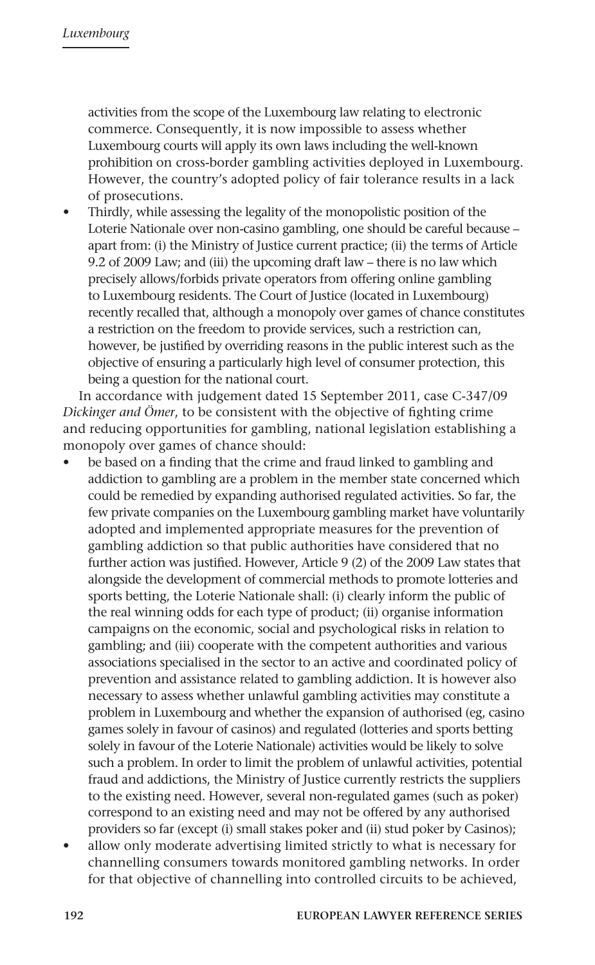activities from the scope of the Luxembourg law relating to electronic commerce. Consequently, it is now impossible to assess whether Luxembourg courts will apply its own laws including the well-known prohibition on cross-border gambling activities deployed in Luxembourg. However, the country's adopted policy of fair tolerance results in a lack of prosecutions.

• Thirdly, while assessing the legality of the monopolistic position of the Loterie Nationale over non-casino gambling, one should be careful because – apart from: (i) the Ministry of Justice current practice; (ii) the terms of Article 9.2 of 2009 Law; and (iii) the upcoming draft law – there is no law which precisely allows/forbids private operators from offering online gambling to Luxembourg residents. The Court of Justice (located in Luxembourg) recently recalled that, although a monopoly over games of chance constitutes a restriction on the freedom to provide services, such a restriction can, however, be justified by overriding reasons in the public interest such as the objective of ensuring a particularly high level of consumer protection, this being a question for the national court.

In accordance with judgement dated 15 September 2011, case C-347/09 *Dickinger and Ömer*, to be consistent with the objective of fighting crime and reducing opportunities for gambling, national legislation establishing a monopoly over games of chance should:

- be based on a finding that the crime and fraud linked to gambling and addiction to gambling are a problem in the member state concerned which could be remedied by expanding authorised regulated activities. So far, the few private companies on the Luxembourg gambling market have voluntarily adopted and implemented appropriate measures for the prevention of gambling addiction so that public authorities have considered that no further action was justified. However, Article 9 (2) of the 2009 Law states that alongside the development of commercial methods to promote lotteries and sports betting, the Loterie Nationale shall: (i) clearly inform the public of the real winning odds for each type of product; (ii) organise information campaigns on the economic, social and psychological risks in relation to gambling; and (iii) cooperate with the competent authorities and various associations specialised in the sector to an active and coordinated policy of prevention and assistance related to gambling addiction. It is however also necessary to assess whether unlawful gambling activities may constitute a problem in Luxembourg and whether the expansion of authorised (eg, casino games solely in favour of casinos) and regulated (lotteries and sports betting solely in favour of the Loterie Nationale) activities would be likely to solve such a problem. In order to limit the problem of unlawful activities, potential fraud and addictions, the Ministry of Justice currently restricts the suppliers to the existing need. However, several non-regulated games (such as poker) correspond to an existing need and may not be offered by any authorised providers so far (except (i) small stakes poker and (ii) stud poker by Casinos);
- allow only moderate advertising limited strictly to what is necessary for channelling consumers towards monitored gambling networks. In order for that objective of channelling into controlled circuits to be achieved,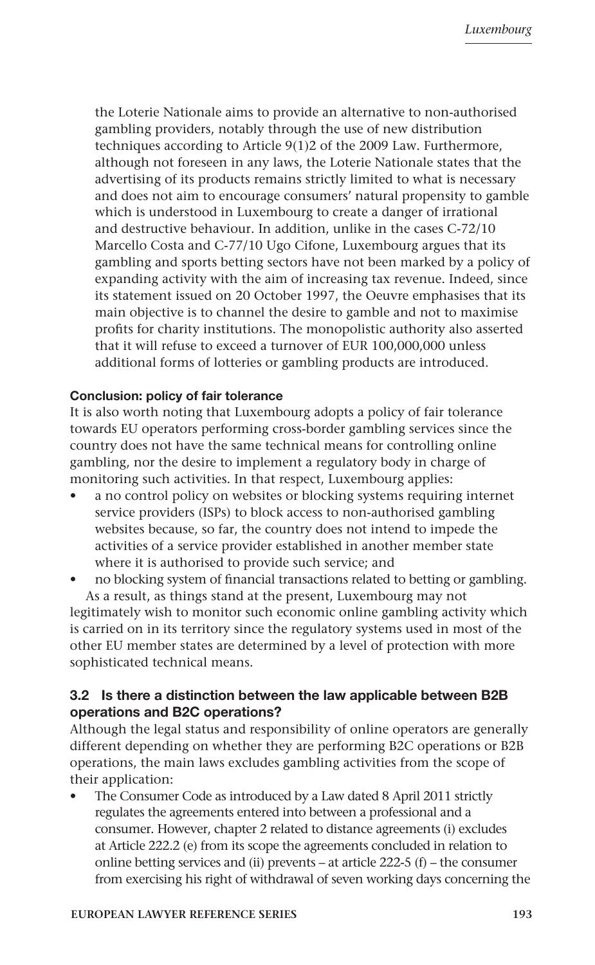the Loterie Nationale aims to provide an alternative to non-authorised gambling providers, notably through the use of new distribution techniques according to Article 9(1)2 of the 2009 Law. Furthermore, although not foreseen in any laws, the Loterie Nationale states that the advertising of its products remains strictly limited to what is necessary and does not aim to encourage consumers' natural propensity to gamble which is understood in Luxembourg to create a danger of irrational and destructive behaviour. In addition, unlike in the cases C-72/10 Marcello Costa and C-77/10 Ugo Cifone, Luxembourg argues that its gambling and sports betting sectors have not been marked by a policy of expanding activity with the aim of increasing tax revenue. Indeed, since its statement issued on 20 October 1997, the Oeuvre emphasises that its main objective is to channel the desire to gamble and not to maximise profits for charity institutions. The monopolistic authority also asserted that it will refuse to exceed a turnover of EUR 100,000,000 unless additional forms of lotteries or gambling products are introduced.

#### Conclusion: policy of fair tolerance

It is also worth noting that Luxembourg adopts a policy of fair tolerance towards EU operators performing cross-border gambling services since the country does not have the same technical means for controlling online gambling, nor the desire to implement a regulatory body in charge of monitoring such activities. In that respect, Luxembourg applies:

- a no control policy on websites or blocking systems requiring internet service providers (ISPs) to block access to non-authorised gambling websites because, so far, the country does not intend to impede the activities of a service provider established in another member state where it is authorised to provide such service; and
- no blocking system of financial transactions related to betting or gambling. As a result, as things stand at the present, Luxembourg may not

legitimately wish to monitor such economic online gambling activity which is carried on in its territory since the regulatory systems used in most of the other EU member states are determined by a level of protection with more sophisticated technical means.

# 3.2 Is there a distinction between the law applicable between B2B operations and B2C operations?

Although the legal status and responsibility of online operators are generally different depending on whether they are performing B2C operations or B2B operations, the main laws excludes gambling activities from the scope of their application:

The Consumer Code as introduced by a Law dated 8 April 2011 strictly regulates the agreements entered into between a professional and a consumer. However, chapter 2 related to distance agreements (i) excludes at Article 222.2 (e) from its scope the agreements concluded in relation to online betting services and (ii) prevents – at article 222-5 (f) – the consumer from exercising his right of withdrawal of seven working days concerning the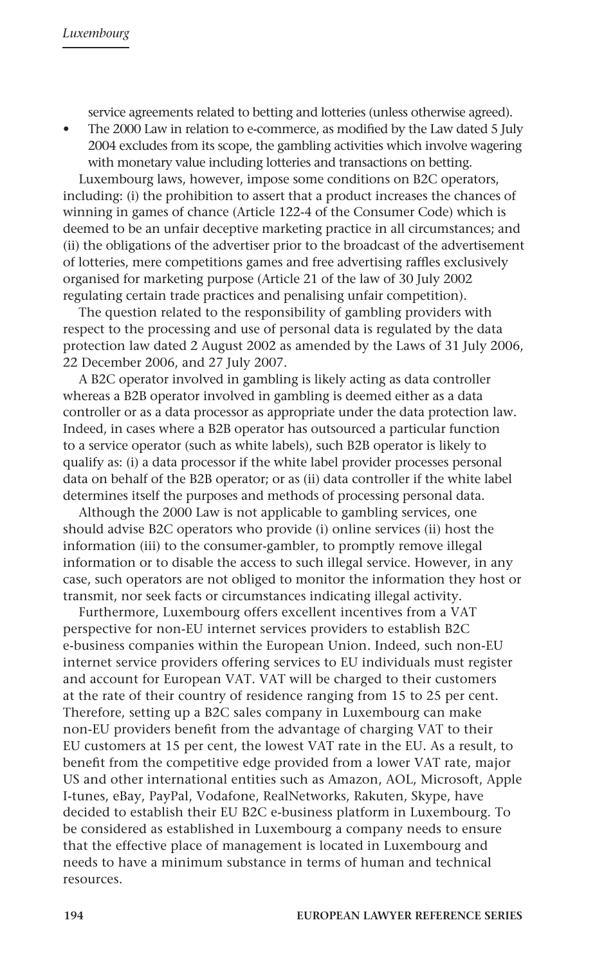service agreements related to betting and lotteries (unless otherwise agreed).

• The 2000 Law in relation to e-commerce, as modified by the Law dated 5 July 2004 excludes from its scope, the gambling activities which involve wagering with monetary value including lotteries and transactions on betting.

Luxembourg laws, however, impose some conditions on B2C operators, including: (i) the prohibition to assert that a product increases the chances of winning in games of chance (Article 122-4 of the Consumer Code) which is deemed to be an unfair deceptive marketing practice in all circumstances; and (ii) the obligations of the advertiser prior to the broadcast of the advertisement of lotteries, mere competitions games and free advertising raffles exclusively organised for marketing purpose (Article 21 of the law of 30 July 2002 regulating certain trade practices and penalising unfair competition).

The question related to the responsibility of gambling providers with respect to the processing and use of personal data is regulated by the data protection law dated 2 August 2002 as amended by the Laws of 31 July 2006, 22 December 2006, and 27 July 2007.

A B2C operator involved in gambling is likely acting as data controller whereas a B2B operator involved in gambling is deemed either as a data controller or as a data processor as appropriate under the data protection law. Indeed, in cases where a B2B operator has outsourced a particular function to a service operator (such as white labels), such B2B operator is likely to qualify as: (i) a data processor if the white label provider processes personal data on behalf of the B2B operator; or as (ii) data controller if the white label determines itself the purposes and methods of processing personal data.

Although the 2000 Law is not applicable to gambling services, one should advise B2C operators who provide (i) online services (ii) host the information (iii) to the consumer-gambler, to promptly remove illegal information or to disable the access to such illegal service. However, in any case, such operators are not obliged to monitor the information they host or transmit, nor seek facts or circumstances indicating illegal activity.

Furthermore, Luxembourg offers excellent incentives from a VAT perspective for non-EU internet services providers to establish B2C e-business companies within the European Union. Indeed, such non-EU internet service providers offering services to EU individuals must register and account for European VAT. VAT will be charged to their customers at the rate of their country of residence ranging from 15 to 25 per cent. Therefore, setting up a B2C sales company in Luxembourg can make non-EU providers benefit from the advantage of charging VAT to their EU customers at 15 per cent, the lowest VAT rate in the EU. As a result, to benefit from the competitive edge provided from a lower VAT rate, major US and other international entities such as Amazon, AOL, Microsoft, Apple I-tunes, eBay, PayPal, Vodafone, RealNetworks, Rakuten, Skype, have decided to establish their EU B2C e-business platform in Luxembourg. To be considered as established in Luxembourg a company needs to ensure that the effective place of management is located in Luxembourg and needs to have a minimum substance in terms of human and technical resources.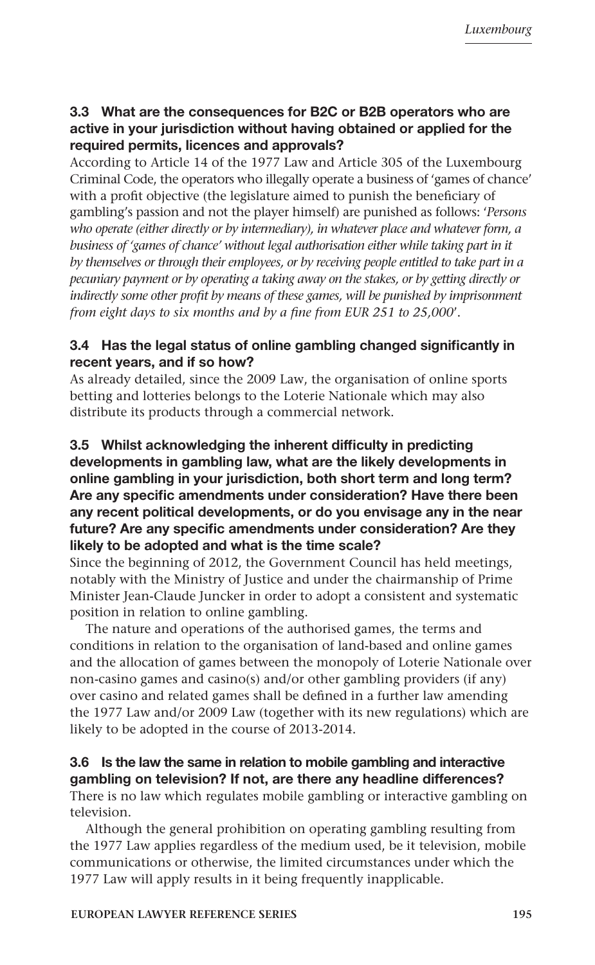# 3.3 What are the consequences for B2C or B2B operators who are active in your jurisdiction without having obtained or applied for the required permits, licences and approvals?

According to Article 14 of the 1977 Law and Article 305 of the Luxembourg Criminal Code, the operators who illegally operate a business of 'games of chance' with a profit objective (the legislature aimed to punish the beneficiary of gambling's passion and not the player himself) are punished as follows: '*Persons who operate (either directly or by intermediary), in whatever place and whatever form, a*  business of 'games of chance' without legal authorisation either while taking part in it *by themselves or through their employees, or by receiving people entitled to take part in a pecuniary payment or by operating a taking away on the stakes, or by getting directly or*  indirectly some other profit by means of these games, will be punished by imprisonment *from eight days to six months and by a fine from EUR 251 to 25,000*'.

# 3.4 Has the legal status of online gambling changed significantly in recent years, and if so how?

As already detailed, since the 2009 Law, the organisation of online sports betting and lotteries belongs to the Loterie Nationale which may also distribute its products through a commercial network.

# 3.5 Whilst acknowledging the inherent difficulty in predicting developments in gambling law, what are the likely developments in online gambling in your jurisdiction, both short term and long term? Are any specific amendments under consideration? Have there been any recent political developments, or do you envisage any in the near future? Are any specific amendments under consideration? Are they likely to be adopted and what is the time scale?

Since the beginning of 2012, the Government Council has held meetings, notably with the Ministry of Justice and under the chairmanship of Prime Minister Jean-Claude Juncker in order to adopt a consistent and systematic position in relation to online gambling.

The nature and operations of the authorised games, the terms and conditions in relation to the organisation of land-based and online games and the allocation of games between the monopoly of Loterie Nationale over non-casino games and casino(s) and/or other gambling providers (if any) over casino and related games shall be defined in a further law amending the 1977 Law and/or 2009 Law (together with its new regulations) which are likely to be adopted in the course of 2013-2014.

# 3.6 Is the law the same in relation to mobile gambling and interactive gambling on television? If not, are there any headline differences?

There is no law which regulates mobile gambling or interactive gambling on television.

Although the general prohibition on operating gambling resulting from the 1977 Law applies regardless of the medium used, be it television, mobile communications or otherwise, the limited circumstances under which the 1977 Law will apply results in it being frequently inapplicable.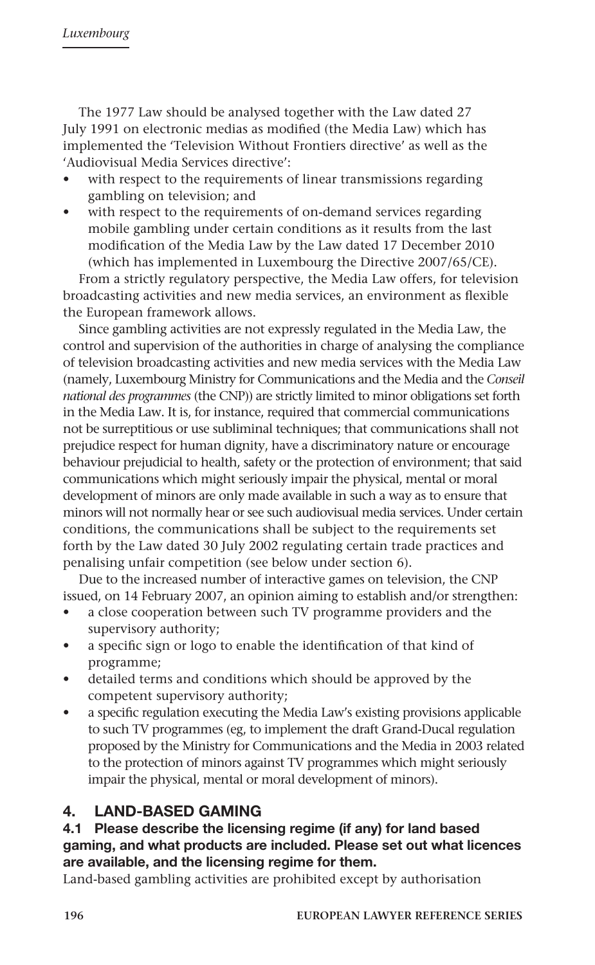The 1977 Law should be analysed together with the Law dated 27 July 1991 on electronic medias as modified (the Media Law) which has implemented the 'Television Without Frontiers directive' as well as the 'Audiovisual Media Services directive':

- with respect to the requirements of linear transmissions regarding gambling on television; and
- with respect to the requirements of on-demand services regarding mobile gambling under certain conditions as it results from the last modification of the Media Law by the Law dated 17 December 2010 (which has implemented in Luxembourg the Directive 2007/65/CE).

From a strictly regulatory perspective, the Media Law offers, for television broadcasting activities and new media services, an environment as flexible the European framework allows.

Since gambling activities are not expressly regulated in the Media Law, the control and supervision of the authorities in charge of analysing the compliance of television broadcasting activities and new media services with the Media Law (namely, Luxembourg Ministry for Communications and the Media and the *Conseil national des programmes* (the CNP)) are strictly limited to minor obligations set forth in the Media Law. It is, for instance, required that commercial communications not be surreptitious or use subliminal techniques; that communications shall not prejudice respect for human dignity, have a discriminatory nature or encourage behaviour prejudicial to health, safety or the protection of environment; that said communications which might seriously impair the physical, mental or moral development of minors are only made available in such a way as to ensure that minors will not normally hear or see such audiovisual media services. Under certain conditions, the communications shall be subject to the requirements set forth by the Law dated 30 July 2002 regulating certain trade practices and penalising unfair competition (see below under section 6).

Due to the increased number of interactive games on television, the CNP issued, on 14 February 2007, an opinion aiming to establish and/or strengthen:

- a close cooperation between such TV programme providers and the supervisory authority;
- a specific sign or logo to enable the identification of that kind of programme;
- detailed terms and conditions which should be approved by the competent supervisory authority;
- a specific regulation executing the Media Law's existing provisions applicable to such TV programmes (eg, to implement the draft Grand-Ducal regulation proposed by the Ministry for Communications and the Media in 2003 related to the protection of minors against TV programmes which might seriously impair the physical, mental or moral development of minors).

# 4. LAND-BASED GAMING

# 4.1 Please describe the licensing regime (if any) for land based gaming, and what products are included. Please set out what licences are available, and the licensing regime for them.

Land-based gambling activities are prohibited except by authorisation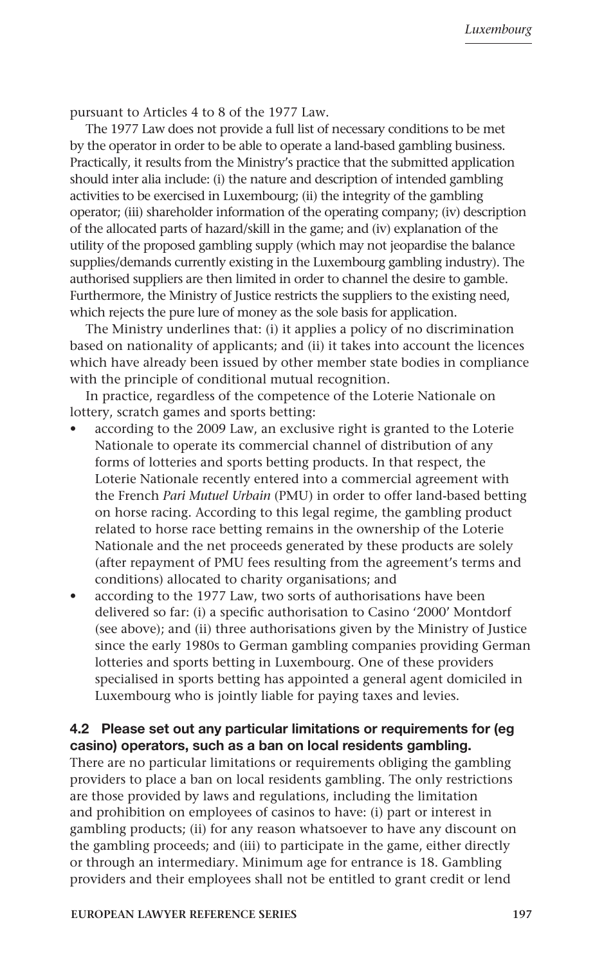pursuant to Articles 4 to 8 of the 1977 Law.

The 1977 Law does not provide a full list of necessary conditions to be met by the operator in order to be able to operate a land-based gambling business. Practically, it results from the Ministry's practice that the submitted application should inter alia include: (i) the nature and description of intended gambling activities to be exercised in Luxembourg; (ii) the integrity of the gambling operator; (iii) shareholder information of the operating company; (iv) description of the allocated parts of hazard/skill in the game; and (iv) explanation of the utility of the proposed gambling supply (which may not jeopardise the balance supplies/demands currently existing in the Luxembourg gambling industry). The authorised suppliers are then limited in order to channel the desire to gamble. Furthermore, the Ministry of Justice restricts the suppliers to the existing need, which rejects the pure lure of money as the sole basis for application.

The Ministry underlines that: (i) it applies a policy of no discrimination based on nationality of applicants; and (ii) it takes into account the licences which have already been issued by other member state bodies in compliance with the principle of conditional mutual recognition.

In practice, regardless of the competence of the Loterie Nationale on lottery, scratch games and sports betting:

- according to the 2009 Law, an exclusive right is granted to the Loterie Nationale to operate its commercial channel of distribution of any forms of lotteries and sports betting products. In that respect, the Loterie Nationale recently entered into a commercial agreement with the French *Pari Mutuel Urbain* (PMU) in order to offer land-based betting on horse racing. According to this legal regime, the gambling product related to horse race betting remains in the ownership of the Loterie Nationale and the net proceeds generated by these products are solely (after repayment of PMU fees resulting from the agreement's terms and conditions) allocated to charity organisations; and
- according to the 1977 Law, two sorts of authorisations have been delivered so far: (i) a specific authorisation to Casino '2000' Montdorf (see above); and (ii) three authorisations given by the Ministry of Justice since the early 1980s to German gambling companies providing German lotteries and sports betting in Luxembourg. One of these providers specialised in sports betting has appointed a general agent domiciled in Luxembourg who is jointly liable for paying taxes and levies.

# 4.2 Please set out any particular limitations or requirements for (eg casino) operators, such as a ban on local residents gambling.

There are no particular limitations or requirements obliging the gambling providers to place a ban on local residents gambling. The only restrictions are those provided by laws and regulations, including the limitation and prohibition on employees of casinos to have: (i) part or interest in gambling products; (ii) for any reason whatsoever to have any discount on the gambling proceeds; and (iii) to participate in the game, either directly or through an intermediary. Minimum age for entrance is 18. Gambling providers and their employees shall not be entitled to grant credit or lend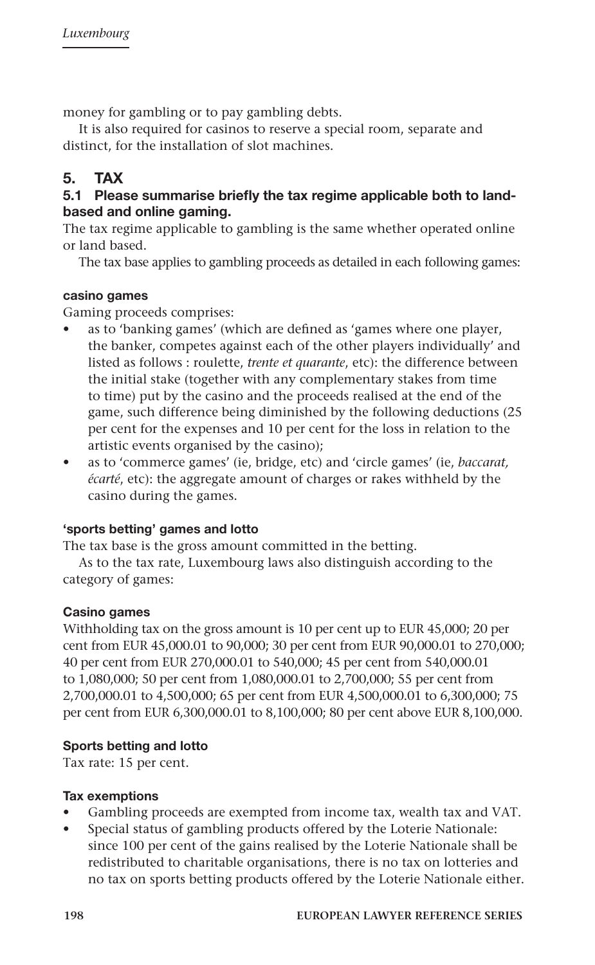money for gambling or to pay gambling debts.

It is also required for casinos to reserve a special room, separate and distinct, for the installation of slot machines.

# 5. TAX

# 5.1 Please summarise briefly the tax regime applicable both to landbased and online gaming.

The tax regime applicable to gambling is the same whether operated online or land based.

The tax base applies to gambling proceeds as detailed in each following games:

# casino games

Gaming proceeds comprises:

- as to 'banking games' (which are defined as 'games where one player, the banker, competes against each of the other players individually' and listed as follows : roulette, *trente et quarante*, etc): the difference between the initial stake (together with any complementary stakes from time to time) put by the casino and the proceeds realised at the end of the game, such difference being diminished by the following deductions (25 per cent for the expenses and 10 per cent for the loss in relation to the artistic events organised by the casino);
- as to 'commerce games' (ie, bridge, etc) and 'circle games' (ie, *baccarat, écarté*, etc): the aggregate amount of charges or rakes withheld by the casino during the games.

# 'sports betting' games and lotto

The tax base is the gross amount committed in the betting.

As to the tax rate, Luxembourg laws also distinguish according to the category of games:

#### Casino games

Withholding tax on the gross amount is 10 per cent up to EUR 45,000; 20 per cent from EUR 45,000.01 to 90,000; 30 per cent from EUR 90,000.01 to 270,000; 40 per cent from EUR 270,000.01 to 540,000; 45 per cent from 540,000.01 to 1,080,000; 50 per cent from 1,080,000.01 to 2,700,000; 55 per cent from 2,700,000.01 to 4,500,000; 65 per cent from EUR 4,500,000.01 to 6,300,000; 75 per cent from EUR 6,300,000.01 to 8,100,000; 80 per cent above EUR 8,100,000.

#### Sports betting and lotto

Tax rate: 15 per cent.

#### Tax exemptions

- Gambling proceeds are exempted from income tax, wealth tax and VAT.
- Special status of gambling products offered by the Loterie Nationale: since 100 per cent of the gains realised by the Loterie Nationale shall be redistributed to charitable organisations, there is no tax on lotteries and no tax on sports betting products offered by the Loterie Nationale either.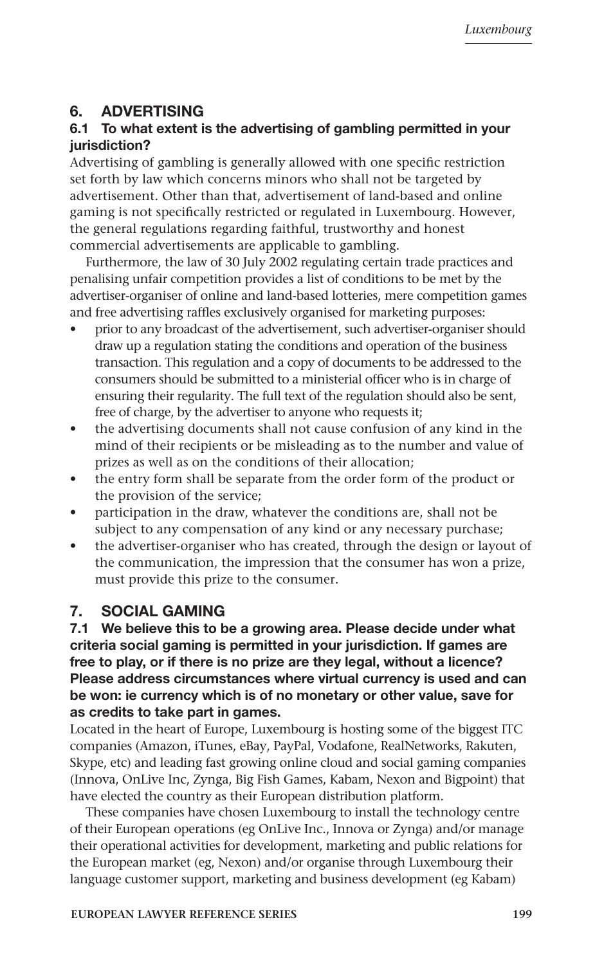# 6. ADVERTISING

# 6.1 To what extent is the advertising of gambling permitted in your jurisdiction?

Advertising of gambling is generally allowed with one specific restriction set forth by law which concerns minors who shall not be targeted by advertisement. Other than that, advertisement of land-based and online gaming is not specifically restricted or regulated in Luxembourg. However, the general regulations regarding faithful, trustworthy and honest commercial advertisements are applicable to gambling.

Furthermore, the law of 30 July 2002 regulating certain trade practices and penalising unfair competition provides a list of conditions to be met by the advertiser-organiser of online and land-based lotteries, mere competition games and free advertising raffles exclusively organised for marketing purposes:

- prior to any broadcast of the advertisement, such advertiser-organiser should draw up a regulation stating the conditions and operation of the business transaction. This regulation and a copy of documents to be addressed to the consumers should be submitted to a ministerial officer who is in charge of ensuring their regularity. The full text of the regulation should also be sent, free of charge, by the advertiser to anyone who requests it;
- the advertising documents shall not cause confusion of any kind in the mind of their recipients or be misleading as to the number and value of prizes as well as on the conditions of their allocation;
- the entry form shall be separate from the order form of the product or the provision of the service;
- participation in the draw, whatever the conditions are, shall not be subject to any compensation of any kind or any necessary purchase;
- the advertiser-organiser who has created, through the design or layout of the communication, the impression that the consumer has won a prize, must provide this prize to the consumer.

# 7. SOCIAL GAMING

7.1 We believe this to be a growing area. Please decide under what criteria social gaming is permitted in your jurisdiction. If games are free to play, or if there is no prize are they legal, without a licence? Please address circumstances where virtual currency is used and can be won: ie currency which is of no monetary or other value, save for as credits to take part in games.

Located in the heart of Europe, Luxembourg is hosting some of the biggest ITC companies (Amazon, iTunes, eBay, PayPal, Vodafone, RealNetworks, Rakuten, Skype, etc) and leading fast growing online cloud and social gaming companies (Innova, OnLive Inc, Zynga, Big Fish Games, Kabam, Nexon and Bigpoint) that have elected the country as their European distribution platform.

These companies have chosen Luxembourg to install the technology centre of their European operations (eg OnLive Inc., Innova or Zynga) and/or manage their operational activities for development, marketing and public relations for the European market (eg, Nexon) and/or organise through Luxembourg their language customer support, marketing and business development (eg Kabam)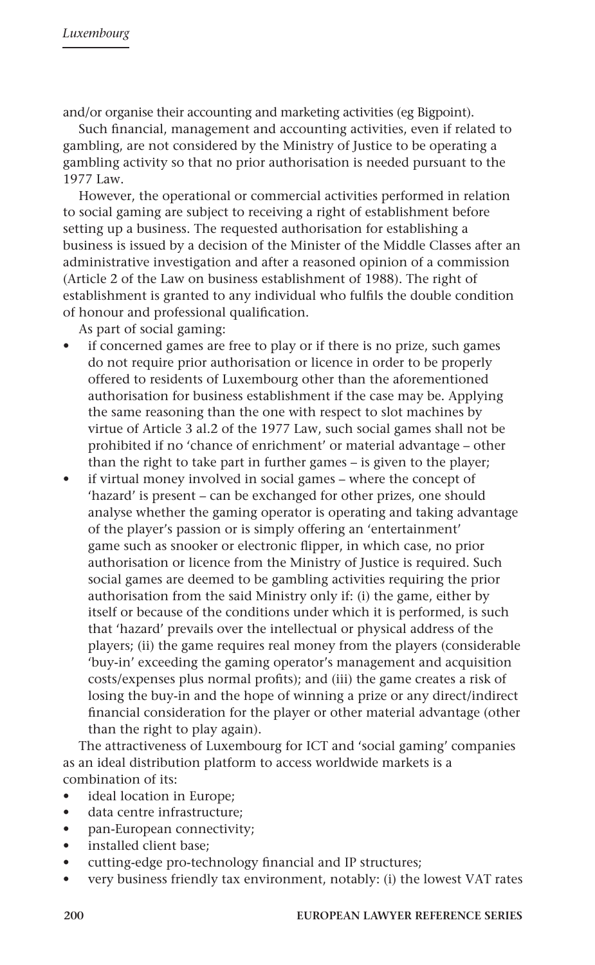and/or organise their accounting and marketing activities (eg Bigpoint).

Such financial, management and accounting activities, even if related to gambling, are not considered by the Ministry of Justice to be operating a gambling activity so that no prior authorisation is needed pursuant to the 1977 Law.

However, the operational or commercial activities performed in relation to social gaming are subject to receiving a right of establishment before setting up a business. The requested authorisation for establishing a business is issued by a decision of the Minister of the Middle Classes after an administrative investigation and after a reasoned opinion of a commission (Article 2 of the Law on business establishment of 1988). The right of establishment is granted to any individual who fulfils the double condition of honour and professional qualification.

As part of social gaming:

- if concerned games are free to play or if there is no prize, such games do not require prior authorisation or licence in order to be properly offered to residents of Luxembourg other than the aforementioned authorisation for business establishment if the case may be. Applying the same reasoning than the one with respect to slot machines by virtue of Article 3 al.2 of the 1977 Law, such social games shall not be prohibited if no 'chance of enrichment' or material advantage – other than the right to take part in further games – is given to the player;
- if virtual money involved in social games where the concept of 'hazard' is present – can be exchanged for other prizes, one should analyse whether the gaming operator is operating and taking advantage of the player's passion or is simply offering an 'entertainment' game such as snooker or electronic flipper, in which case, no prior authorisation or licence from the Ministry of Justice is required. Such social games are deemed to be gambling activities requiring the prior authorisation from the said Ministry only if: (i) the game, either by itself or because of the conditions under which it is performed, is such that 'hazard' prevails over the intellectual or physical address of the players; (ii) the game requires real money from the players (considerable 'buy-in' exceeding the gaming operator's management and acquisition costs/expenses plus normal profits); and (iii) the game creates a risk of losing the buy-in and the hope of winning a prize or any direct/indirect financial consideration for the player or other material advantage (other than the right to play again).

The attractiveness of Luxembourg for ICT and 'social gaming' companies as an ideal distribution platform to access worldwide markets is a combination of its:

- ideal location in Europe;
- data centre infrastructure;
- pan-European connectivity;
- installed client base;
- cutting-edge pro-technology financial and IP structures;
- very business friendly tax environment, notably: (i) the lowest VAT rates